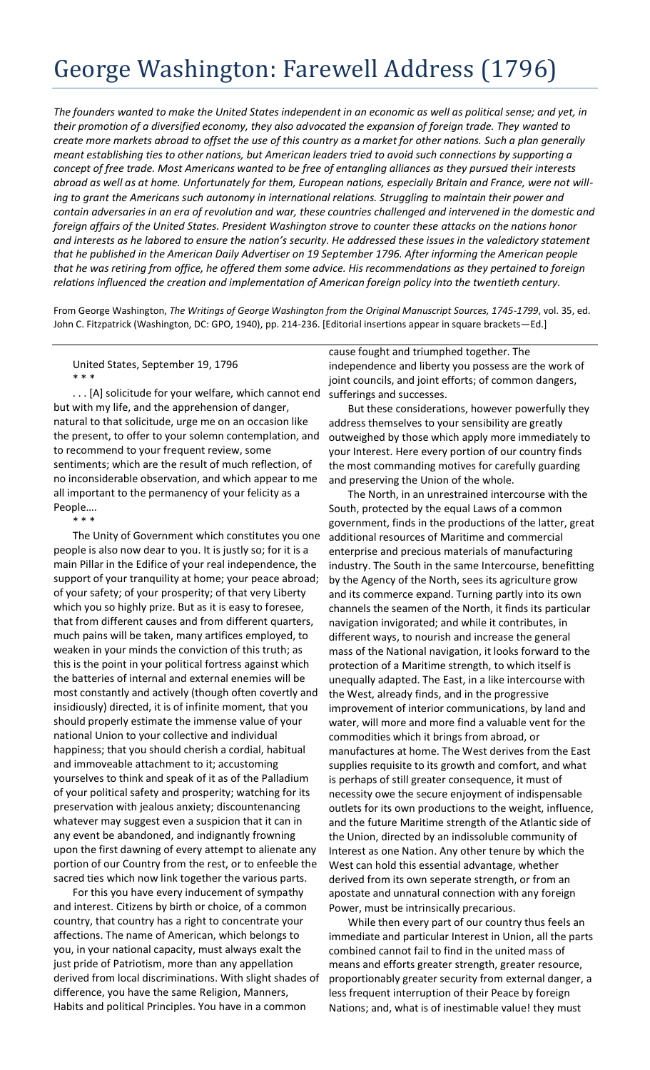## George Washington: Farewell Address (1796)

*The founders wanted to make the United States independent in an economic as well as political sense; and yet, in their promotion of a diversified economy, they also advocated the expansion of foreign trade. They wanted to create more markets abroad to offset the use of this country as a market for other nations. Such a plan generally meant establishing ties to other nations, but American leaders tried to avoid such connections by supporting a concept of free trade. Most Americans wanted to be free of entangling alliances as they pursued their interests abroad as well as at home. Unfortunately for them, European nations, especially Britain and France, were not willing to grant the Americans such autonomy in international relations. Struggling to maintain their power and contain adversaries in an era of revolution and war, these countries challenged and intervened in the domestic and foreign affairs of the United States. President Washington strove to counter these attacks on the nations honor and interests as he labored to ensure the nation's security. He addressed these issues in the valedictory statement that he published in the American Daily Advertiser on 19 September 1796. After informing the American people that he was retiring from office, he offered them some advice. His recommendations as they pertained to foreign relations influenced the creation and implementation of American foreign policy into the twentieth century.*

From George Washington, *The Writings of George Washington from the Original Manuscript Sources, 1745-1799*, vol. 35, ed. John C. Fitzpatrick (Washington, DC: GPO, 1940), pp. 214-236. [Editorial insertions appear in square brackets—Ed.]

United States, September 19, 1796 \* \* \*

. . . [A] solicitude for your welfare, which cannot end but with my life, and the apprehension of danger, natural to that solicitude, urge me on an occasion like the present, to offer to your solemn contemplation, and to recommend to your frequent review, some sentiments; which are the result of much reflection, of no inconsiderable observation, and which appear to me all important to the permanency of your felicity as a People….

\* \* \*

The Unity of Government which constitutes you one people is also now dear to you. It is justly so; for it is a main Pillar in the Edifice of your real independence, the support of your tranquility at home; your peace abroad; of your safety; of your prosperity; of that very Liberty which you so highly prize. But as it is easy to foresee, that from different causes and from different quarters, much pains will be taken, many artifices employed, to weaken in your minds the conviction of this truth; as this is the point in your political fortress against which the batteries of internal and external enemies will be most constantly and actively (though often covertly and insidiously) directed, it is of infinite moment, that you should properly estimate the immense value of your national Union to your collective and individual happiness; that you should cherish a cordial, habitual and immoveable attachment to it; accustoming yourselves to think and speak of it as of the Palladium of your political safety and prosperity; watching for its preservation with jealous anxiety; discountenancing whatever may suggest even a suspicion that it can in any event be abandoned, and indignantly frowning upon the first dawning of every attempt to alienate any portion of our Country from the rest, or to enfeeble the sacred ties which now link together the various parts.

For this you have every inducement of sympathy and interest. Citizens by birth or choice, of a common country, that country has a right to concentrate your affections. The name of American, which belongs to you, in your national capacity, must always exalt the just pride of Patriotism, more than any appellation derived from local discriminations. With slight shades of difference, you have the same Religion, Manners, Habits and political Principles. You have in a common

## cause fought and triumphed together. The

independence and liberty you possess are the work of joint councils, and joint efforts; of common dangers, sufferings and successes.

But these considerations, however powerfully they address themselves to your sensibility are greatly outweighed by those which apply more immediately to your Interest. Here every portion of our country finds the most commanding motives for carefully guarding and preserving the Union of the whole.

The North, in an unrestrained intercourse with the South, protected by the equal Laws of a common government, finds in the productions of the latter, great additional resources of Maritime and commercial enterprise and precious materials of manufacturing industry. The South in the same Intercourse, benefitting by the Agency of the North, sees its agriculture grow and its commerce expand. Turning partly into its own channels the seamen of the North, it finds its particular navigation invigorated; and while it contributes, in different ways, to nourish and increase the general mass of the National navigation, it looks forward to the protection of a Maritime strength, to which itself is unequally adapted. The East, in a like intercourse with the West, already finds, and in the progressive improvement of interior communications, by land and water, will more and more find a valuable vent for the commodities which it brings from abroad, or manufactures at home. The West derives from the East supplies requisite to its growth and comfort, and what is perhaps of still greater consequence, it must of necessity owe the secure enjoyment of indispensable outlets for its own productions to the weight, influence, and the future Maritime strength of the Atlantic side of the Union, directed by an indissoluble community of Interest as one Nation. Any other tenure by which the West can hold this essential advantage, whether derived from its own seperate strength, or from an apostate and unnatural connection with any foreign Power, must be intrinsically precarious.

While then every part of our country thus feels an immediate and particular Interest in Union, all the parts combined cannot fail to find in the united mass of means and efforts greater strength, greater resource, proportionably greater security from external danger, a less frequent interruption of their Peace by foreign Nations; and, what is of inestimable value! they must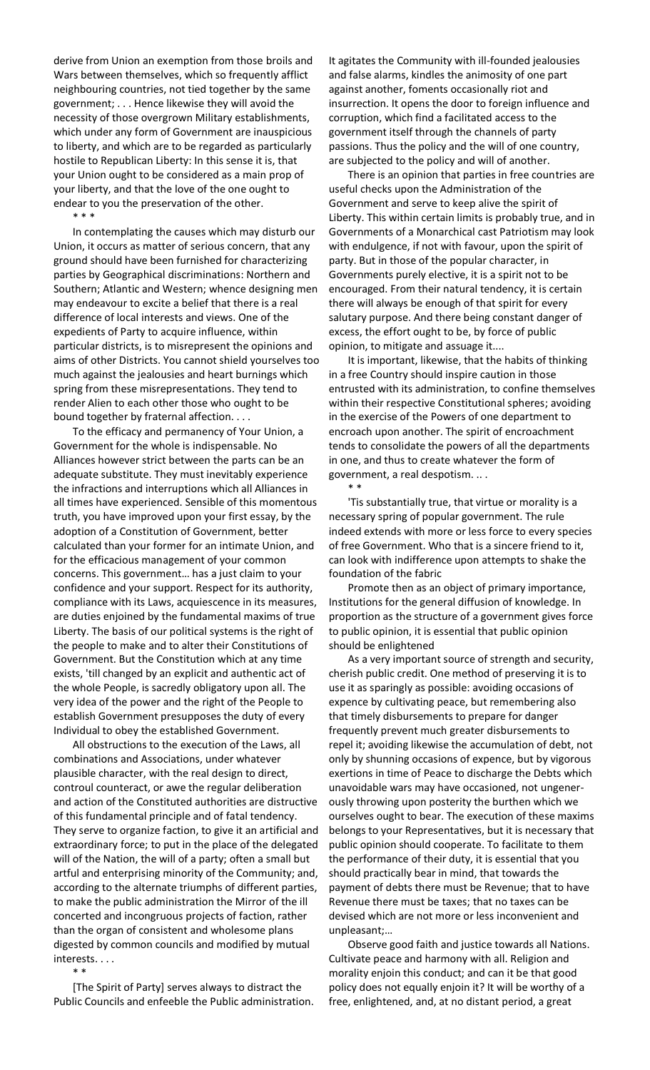derive from Union an exemption from those broils and Wars between themselves, which so frequently afflict neighbouring countries, not tied together by the same government; . . . Hence likewise they will avoid the necessity of those overgrown Military establishments, which under any form of Government are inauspicious to liberty, and which are to be regarded as particularly hostile to Republican Liberty: In this sense it is, that your Union ought to be considered as a main prop of your liberty, and that the love of the one ought to endear to you the preservation of the other. \* \* \*

In contemplating the causes which may disturb our Union, it occurs as matter of serious concern, that any ground should have been furnished for characterizing parties by Geographical discriminations: Northern and Southern; Atlantic and Western; whence designing men may endeavour to excite a belief that there is a real difference of local interests and views. One of the expedients of Party to acquire influence, within particular districts, is to misrepresent the opinions and aims of other Districts. You cannot shield yourselves too much against the jealousies and heart burnings which spring from these misrepresentations. They tend to render Alien to each other those who ought to be bound together by fraternal affection. . . .

To the efficacy and permanency of Your Union, a Government for the whole is indispensable. No Alliances however strict between the parts can be an adequate substitute. They must inevitably experience the infractions and interruptions which all Alliances in all times have experienced. Sensible of this momentous truth, you have improved upon your first essay, by the adoption of a Constitution of Government, better calculated than your former for an intimate Union, and for the efficacious management of your common concerns. This government… has a just claim to your confidence and your support. Respect for its authority, compliance with its Laws, acquiescence in its measures, are duties enjoined by the fundamental maxims of true Liberty. The basis of our political systems is the right of the people to make and to alter their Constitutions of Government. But the Constitution which at any time exists, 'till changed by an explicit and authentic act of the whole People, is sacredly obligatory upon all. The very idea of the power and the right of the People to establish Government presupposes the duty of every Individual to obey the established Government.

All obstructions to the execution of the Laws, all combinations and Associations, under whatever plausible character, with the real design to direct, controul counteract, or awe the regular deliberation and action of the Constituted authorities are distructive of this fundamental principle and of fatal tendency. They serve to organize faction, to give it an artificial and extraordinary force; to put in the place of the delegated will of the Nation, the will of a party; often a small but artful and enterprising minority of the Community; and, according to the alternate triumphs of different parties, to make the public administration the Mirror of the ill concerted and incongruous projects of faction, rather than the organ of consistent and wholesome plans digested by common councils and modified by mutual interests. . . .

\* \*

[The Spirit of Party] serves always to distract the Public Councils and enfeeble the Public administration. It agitates the Community with ill-founded jealousies and false alarms, kindles the animosity of one part against another, foments occasionally riot and insurrection. It opens the door to foreign influence and corruption, which find a facilitated access to the government itself through the channels of party passions. Thus the policy and the will of one country, are subjected to the policy and will of another.

There is an opinion that parties in free countries are useful checks upon the Administration of the Government and serve to keep alive the spirit of Liberty. This within certain limits is probably true, and in Governments of a Monarchical cast Patriotism may look with endulgence, if not with favour, upon the spirit of party. But in those of the popular character, in Governments purely elective, it is a spirit not to be encouraged. From their natural tendency, it is certain there will always be enough of that spirit for every salutary purpose. And there being constant danger of excess, the effort ought to be, by force of public opinion, to mitigate and assuage it....

It is important, likewise, that the habits of thinking in a free Country should inspire caution in those entrusted with its administration, to confine themselves within their respective Constitutional spheres; avoiding in the exercise of the Powers of one department to encroach upon another. The spirit of encroachment tends to consolidate the powers of all the departments in one, and thus to create whatever the form of government, a real despotism. .. .

\* \*

'Tis substantially true, that virtue or morality is a necessary spring of popular government. The rule indeed extends with more or less force to every species of free Government. Who that is a sincere friend to it, can look with indifference upon attempts to shake the foundation of the fabric

Promote then as an object of primary importance, Institutions for the general diffusion of knowledge. In proportion as the structure of a government gives force to public opinion, it is essential that public opinion should be enlightened

As a very important source of strength and security, cherish public credit. One method of preserving it is to use it as sparingly as possible: avoiding occasions of expence by cultivating peace, but remembering also that timely disbursements to prepare for danger frequently prevent much greater disbursements to repel it; avoiding likewise the accumulation of debt, not only by shunning occasions of expence, but by vigorous exertions in time of Peace to discharge the Debts which unavoidable wars may have occasioned, not ungenerously throwing upon posterity the burthen which we ourselves ought to bear. The execution of these maxims belongs to your Representatives, but it is necessary that public opinion should cooperate. To facilitate to them the performance of their duty, it is essential that you should practically bear in mind, that towards the payment of debts there must be Revenue; that to have Revenue there must be taxes; that no taxes can be devised which are not more or less inconvenient and unpleasant;…

Observe good faith and justice towards all Nations. Cultivate peace and harmony with all. Religion and morality enjoin this conduct; and can it be that good policy does not equally enjoin it? It will be worthy of a free, enlightened, and, at no distant period, a great